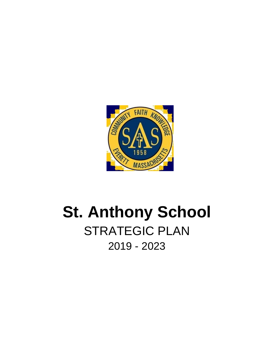

# **St. Anthony School** STRATEGIC PLAN 2019 - 2023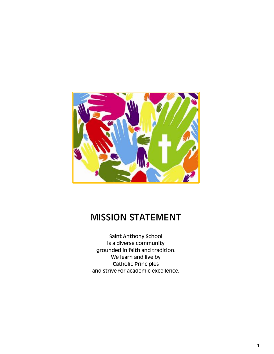

# MISSION STATEMENT

Saint Anthony School is a diverse community grounded in faith and tradition. We learn and live by Catholic Principles and strive for academic excellence.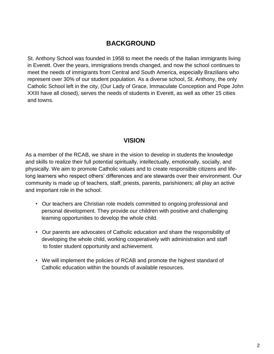### **BACKGROUND**

St. Anthony School was founded in 1958 to meet the needs of the Italian immigrants living in Everett. Over the years, immigrations trends changed, and now the school continues to meet the needs of immigrants from Central and South America, especially Brazilians who represent over 30% of our student population. As a diverse school, St. Anthony, the only Catholic School left in the city, (Our Lady of Grace, Immaculate Conception and Pope John XXIII have all closed), serves the needs of students in Everett, as well as other 15 cities and towns.

#### **VISION**

As a member of the RCAB, we share in the vision to develop in students the knowledge and skills to realize their full potential spiritually, intellectually, emotionally, socially, and physically. We aim to promote Catholic values and to create responsible citizens and lifelong learners who respect others' differences and are stewards over their environment. Our community is made up of teachers, staff, priests, parents, parishioners; all play an active and important role in the school.

- Our teachers are Christian role models committed to ongoing professional and personal development. They provide our children with positive and challenging learning opportunities to develop the whole child.
- Our parents are advocates of Catholic education and share the responsibility of developing the whole child, working cooperatively with administration and staff to foster student opportunity and achievement.
- We will implement the policies of RCAB and promote the highest standard of Catholic education within the bounds of available resources.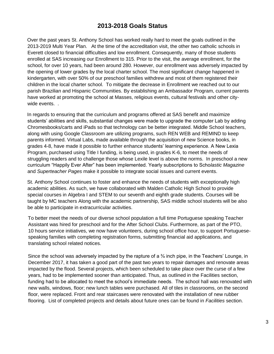#### **2013-2018 Goals Status**

Over the past years St. Anthony School has worked really hard to meet the goals outlined in the 2013-2019 Multi Year Plan. At the time of the accreditation visit, the other two catholic schools in Everett closed to financial difficulties and low enrollment. Consequently, many of those students enrolled at SAS increasing our Enrollment to 315. Prior to the visit, the average enrollment, for the school, for over 10 years, had been around 280. However, our enrollment was adversely impacted by the opening of lower grades by the local charter school. The most significant change happened in kindergarten, with over 50% of our preschool families withdrew and most of them registered their children in the local charter school. To mitigate the decrease in Enrollment we reached out to our parish Brazilian and Hispanic Communities. By establishing an Ambassador Program, current parents have worked at promoting the school at Masses, religious events, cultural festivals and other citywide events. .

In regards to ensuring that the curriculum and programs offered at SAS benefit and maximize students' abilities and skills, substantial changes were made to upgrade the computer Lab by adding Chromesbooks/carts and iPads so that technology can be better integrated. Middle School teachers, along with using Google Classroom are utilizing programs, such REN WEB and REMIND to keep parents informed. Virtual Labs, made available through the acquisition of new Science books, in grades 4-8, have made it possible to further enhance students' learning experience. A New Lexia Program, purchased using Title I funding, is being used, in grades K-6, to meet the needs of struggling readers and to challenge those whose Lexile level is above the norms. In preschool a new curriculum "Happily Ever After" has been implemented. Yearly subscriptions to Scho*lastic Magazine*  and *Superteacher Pages* make it possible to integrate social issues and current events.

St. Anthony School continues to foster and enhance the needs of students with exceptionally high academic abilities. As such, we have collaborated with Malden Catholic High School to provide special courses in Algebra I and STEM to our seventh and eighth grade students. Courses will be taught by MC teachers Along with the academic partnership, SAS middle school students will be also be able to participate in extracurricular activities.

To better meet the needs of our diverse school population a full time Portuguese speaking Teacher Assistant was hired for preschool and for the After School Clubs. Furthermore, as part of the PTO, 10 hours service initiatives, we now have volunteers, during school office hour, to support Portuguesespeaking families with completing registration forms, submitting financial aid applications, and translating school related notices.

Since the school was adversely impacted by the rapture of a  $\frac{3}{4}$  inch pipe, in the Teachers' Lounge, in December 2017, it has taken a good part of the past two years to repair damages and renovate areas impacted by the flood. Several projects, which been scheduled to take place over the curse of a few years, had to be implemented sooner than anticipated. Thus, as outlined in the Facilities section, funding had to be allocated to meet the school's immediate needs. The school hall was renovated with new walls, windows, floor; new lunch tables were purchased. All of tiles in classrooms, on the second floor, were replaced. Front and rear staircases were renovated with the installation of new rubber flooring. List of completed projects and details about future ones can be found in *Facilities* section.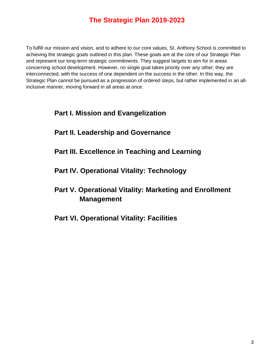## **The Strategic Plan 2019-2023**

To fulfill our mission and vision, and to adhere to our core values, St. Anthony School is committed to achieving the strategic goals outlined in this plan. These goals are at the core of our Strategic Plan and represent our long-term strategic commitments. They suggest targets to aim for in areas concerning school development. However, no single goal takes priority over any other; they are interconnected, with the success of one dependent on the success in the other. In this way, the Strategic Plan cannot be pursued as a progression of ordered steps, but rather implemented in an allinclusive manner, moving forward in all areas at once.

#### **Part I. Mission and Evangelization**

- **Part II. Leadership and Governance**
- **Part III. Excellence in Teaching and Learning**
- **Part IV. Operational Vitality: Technology**
- **Part V. Operational Vitality: Marketing and Enrollment Management**
- **Part VI. Operational Vitality: Facilities**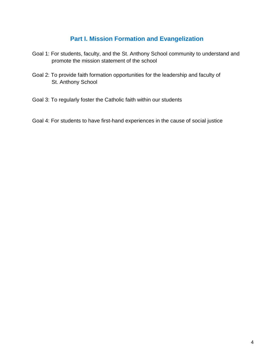#### **Part I. Mission Formation and Evangelization**

- Goal 1: For students, faculty, and the St. Anthony School community to understand and promote the mission statement of the school
- Goal 2: To provide faith formation opportunities for the leadership and faculty of St. Anthony School
- Goal 3: To regularly foster the Catholic faith within our students
- Goal 4: For students to have first-hand experiences in the cause of social justice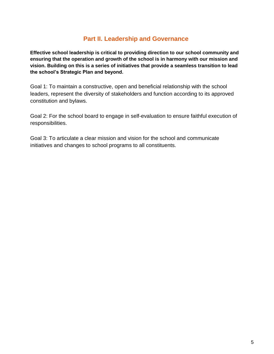#### **Part II. Leadership and Governance**

**Effective school leadership is critical to providing direction to our school community and ensuring that the operation and growth of the school is in harmony with our mission and vision. Building on this is a series of initiatives that provide a seamless transition to lead the school's Strategic Plan and beyond.**

Goal 1: To maintain a constructive, open and beneficial relationship with the school leaders, represent the diversity of stakeholders and function according to its approved constitution and bylaws.

Goal 2: For the school board to engage in self-evaluation to ensure faithful execution of responsibilities.

Goal 3: To articulate a clear mission and vision for the school and communicate initiatives and changes to school programs to all constituents.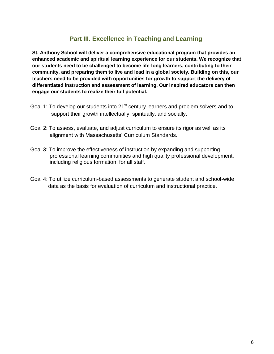#### **Part III. Excellence in Teaching and Learning**

**St. Anthony School will deliver a comprehensive educational program that provides an enhanced academic and spiritual learning experience for our students. We recognize that our students need to be challenged to become life-long learners, contributing to their community, and preparing them to live and lead in a global society. Building on this, our teachers need to be provided with opportunities for growth to support the delivery of differentiated instruction and assessment of learning. Our inspired educators can then engage our students to realize their full potential.**

- Goal 1: To develop our students into 21<sup>st</sup> century learners and problem solvers and to support their growth intellectually, spiritually, and socially.
- Goal 2: To assess, evaluate, and adjust curriculum to ensure its rigor as well as its alignment with Massachusetts' Curriculum Standards.
- Goal 3: To improve the effectiveness of instruction by expanding and supporting professional learning communities and high quality professional development, including religious formation, for all staff.
- Goal 4: To utilize curriculum-based assessments to generate student and school-wide data as the basis for evaluation of curriculum and instructional practice.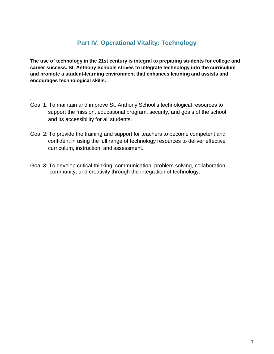### **Part IV. Operational Vitality: Technology**

**The use of technology in the 21st century is integral to preparing students for college and career success. St. Anthony Schools strives to integrate technology into the curriculum and promote a student-learning environment that enhances learning and assists and encourages technological skills.**

Goal 1: To maintain and improve St. Anthony School's technological resources to support the mission, educational program, security, and goals of the school and its accessibility for all students.

.

- Goal 2: To provide the training and support for teachers to become competent and confident in using the full range of technology resources to deliver effective curriculum, instruction, and assessment.
- Goal 3: To develop critical thinking, communication, problem solving, collaboration, community, and creativity through the integration of technology.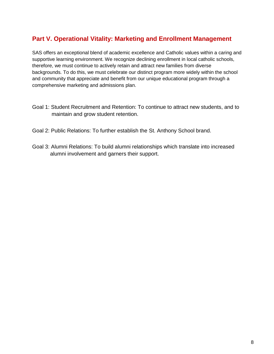#### **Part V. Operational Vitality: Marketing and Enrollment Management**

SAS offers an exceptional blend of academic excellence and Catholic values within a caring and supportive learning environment. We recognize declining enrollment in local catholic schools, therefore, we must continue to actively retain and attract new families from diverse backgrounds. To do this, we must celebrate our distinct program more widely within the school and community that appreciate and benefit from our unique educational program through a comprehensive marketing and admissions plan.

- Goal 1: Student Recruitment and Retention: To continue to attract new students, and to maintain and grow student retention.
- Goal 2: Public Relations: To further establish the St. Anthony School brand.
- Goal 3: Alumni Relations: To build alumni relationships which translate into increased alumni involvement and garners their support.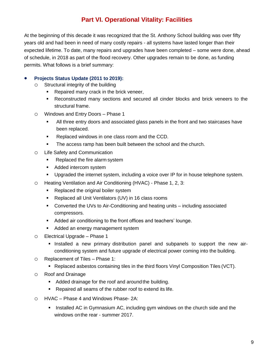#### **Part VI. Operational Vitality: Facilities**

At the beginning of this decade it was recognized that the St. Anthony School building was over fifty years old and had been in need of many costly repairs - all systems have lasted longer than their expected lifetime. To date, many repairs and upgrades have been completed – some were done, ahead of schedule, in 2018 as part of the flood recovery. Other upgrades remain to be done, as funding permits. What follows is a brief summary:

#### **Projects Status Update (2011 to 2019):**

- o Structural integrity of the building
	- **Repaired many crack in the brick veneer,**
	- Reconstructed many sections and secured all cinder blocks and brick veneers to the structural frame.
- o Windows and Entry Doors Phase 1
	- All three entry doors and associated glass panels in the front and two staircases have been replaced.
	- **Replaced windows in one class room and the CCD.**
	- The access ramp has been built between the school and the church.
- o Life Safety and Communication
	- Replaced the fire alarm system
	- **Added intercom system**
	- Upgraded the internet system, including a voice over IP for in house telephone system.
- o Heating Ventilation and Air Conditioning (HVAC) Phase 1, 2, 3:
	- Replaced the original boiler system
	- Replaced all Unit Ventilators (UV) in 16 class rooms
	- **Converted the UVs to Air-Conditioning and heating units including associated** compressors.
	- **Added air conditioning to the front offices and teachers' lounge.**
	- Added an energy management system
- o Electrical Upgrade Phase 1
	- Installed a new primary distribution panel and subpanels to support the new airconditioning system and future upgrade of electrical power coming into the building.
- o Replacement of Tiles Phase 1:
	- Replaced asbestos containing tiles in the third floors Vinyl Composition Tiles (VCT).
- o Roof and Drainage
	- Added drainage for the roof and aroundthe building.
	- Repaired all seams of the rubber roof to extend its life.
- o HVAC Phase 4 and Windows Phase- 2A:
	- Installed AC in Gymnasium AC, including gym windows on the church side and the windows onthe rear - summer 2017.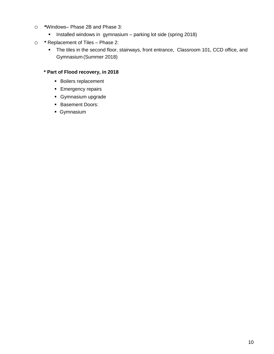- o **\***Windows– Phase 2B and Phase 3:
	- **Installed windows in gymnasium** parking lot side (spring 2018)
- o **\*** Replacement of Tiles Phase 2:
	- The tiles in the second floor, stairways, front entrance, Classroom 101, CCD office, and Gymnasium (Summer 2018)

#### **\* Part of Flood recovery, in 2018**

- **Boilers replacement**
- **Emergency repairs**
- **Gymnasium upgrade**
- **Basement Doors:**
- Gymnasium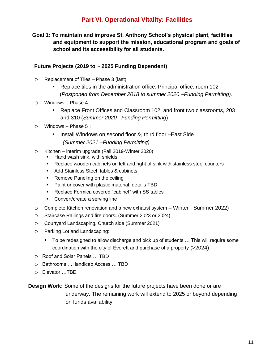#### **Part VI. Operational Vitality: Facilities**

**Goal 1: To maintain and improve St. Anthony School's physical plant, facilities and equipment to support the mission, educational program and goals of school and its accessibility for all students.** 

#### **Future Projects (2019 to ~ 2025 Funding Dependent)**

- o Replacement of Tiles Phase 3 (last):
	- Replace tiles in the administration office, Principal office, room 102 (*Postponed from December 2018 to summer 2020 –Funding Permitting).*
- o Windows Phase 4
	- Replace Front Offices and Classroom 102, and front two classrooms, 203 and 310 (*Summer 2020 –Funding Permitting*)
- $\circ$  Windows Phase 5 :
	- Install Windows on second floor &, third floor –East Side  *(Summer 2021 –Funding Permitting)*
- o Kitchen interim upgrade (Fall 2019-Winter 2020)
	- Hand wash sink, with shields
	- Replace wooden cabinets on left and right of sink with stainless steel counters
	- Add Stainless Steel tables & cabinets.
	- Remove Paneling on the ceiling
	- Paint or cover with plastic material; details TBD
	- **Replace Formica covered "cabinet" with SS tables**
	- **Convert/create a serving line**
- o Complete Kitchen renovation and a new exhaust system **–** Winter Summer 2022)
- o Staircase Railings and fire doors**:** (Summer 2023 or 2024)
- o Courtyard Landscaping, Church side (Summer 2021)
- o Parking Lot and Landscaping:
	- To be redesigned to allow discharge and pick up of students ... This will require some coordination with the city of Everett and purchase of a property (>2024).
- o Roof and Solar Panels … TBD
- o Bathrooms …Handicap Access … TBD
- o Elevator …TBD

**Design Work:** Some of the designs for the future projects have been done or are underway. The remaining work will extend to 2025 or beyond depending on funds availability.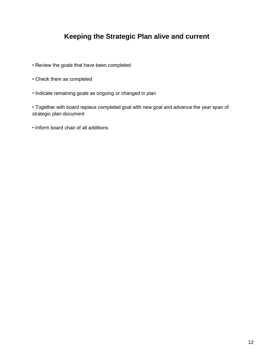## **Keeping the Strategic Plan alive and current**

- Review the goals that have been completed
- Check them as completed
- Indicate remaining goals as ongoing or changed in plan

• Together with board replace completed goal with new goal and advance the year span of strategic plan document

• Inform board chair of all additions